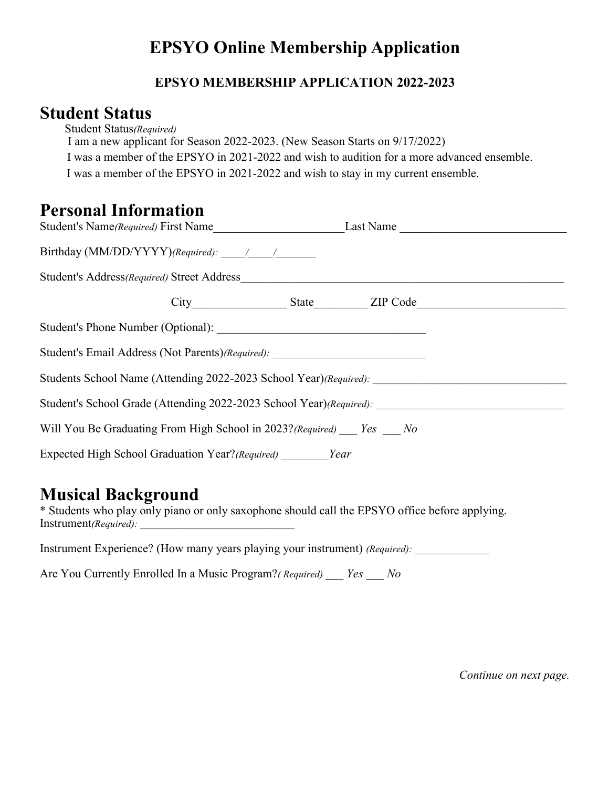# **EPSYO Online Membership Application**

#### **EPSYO MEMBERSHIP APPLICATION 2022-2023**

#### **Student Status**

Student Status*(Required)*

I am a new applicant for Season 2022-2023. (New Season Starts on 9/17/2022)

I was a member of the EPSYO in 2021-2022 and wish to audition for a more advanced ensemble.

I was a member of the EPSYO in 2021-2022 and wish to stay in my current ensemble.

### **Personal Information**

|                                                                                                      |  | Last Name |  |
|------------------------------------------------------------------------------------------------------|--|-----------|--|
|                                                                                                      |  |           |  |
|                                                                                                      |  |           |  |
|                                                                                                      |  |           |  |
|                                                                                                      |  |           |  |
| Student's Email Address (Not Parents)(Required): _______________________________                     |  |           |  |
| Students School Name (Attending 2022-2023 School Year)(Required): __________________________________ |  |           |  |
| Student's School Grade (Attending 2022-2023 School Year)(Required):                                  |  |           |  |
| Will You Be Graduating From High School in 2023? (Required) Yes No                                   |  |           |  |
| Expected High School Graduation Year?(Required) Year                                                 |  |           |  |

#### **Musical Background**

\* Students who play only piano or only saxophone should call the EPSYO office before applying. Instrument*(Required)*:

Instrument Experience? (How many years playing your instrument) *(Required)*:

Are You Currently Enrolled In a Music Program?*( Required) \_\_\_ Yes \_\_\_ No*

*Continue on next page.*